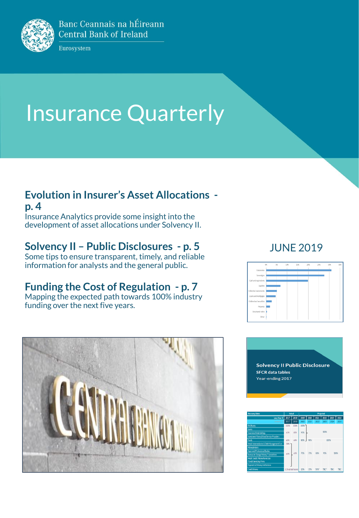

Banc Ceannais na hÉireann **Central Bank of Ireland** 

Eurosystem

# Insurance Quarterly

### **Evolution in Insurer's Asset Allocations -**

**p. 4**

Insurance Analytics provide some insight into the development of asset allocations under Solvency II.

### **Solvency II – Public Disclosures - p. 5**

Some tips to ensure transparent, timely, and reliable information for analysts and the general public.

### **Funding the Cost of Regulation - p. 7**

Mapping the expected path towards 100% industry funding over the next five years.









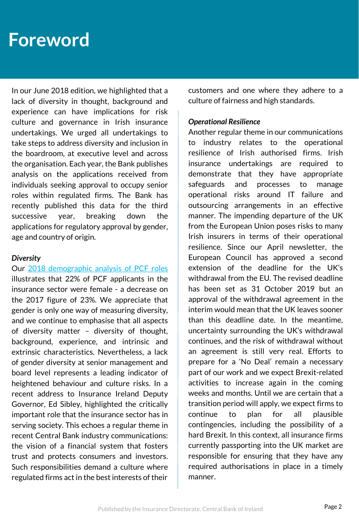### **Foreword**

In our June 2018 edition, we highlighted that a lack of diversity in thought, background and experience can have implications for risk culture and governance in Irish insurance undertakings. We urged all undertakings to take steps to address diversity and inclusion in the boardroom, at executive level and across the organisation. Each year, the Bank publishes analysis on the applications received from individuals seeking approval to occupy senior roles within regulated firms. The Bank has recently published this data for the third successive year, breaking down the applications for regulatory approval by gender, age and country of origin.

#### *Diversity*

#### Our 2018 [demographic](https://www.centralbank.ie/docs/default-source/publications/demographic-reports/2018-demographics-of-the-financial-sector-report.pdf) analysis of PCF roles

illustrates that 22% of PCF applicants in the insurance sector were female - a decrease on the 2017 figure of 23%. We appreciate that gender is only one way of measuring diversity, and we continue to emphasise that all aspects of diversity matter – diversity of thought, background, experience, and intrinsic and extrinsic characteristics. Nevertheless, a lack of gender diversity at senior management and board level represents a leading indicator of heightened behaviour and culture risks. In a recent address to Insurance Ireland Deputy Governor, Ed Sibley, highlighted the critically important role that the insurance sector has in serving society. This echoes a regular theme in recent Central Bank industry communications: the vision of a financial system that fosters trust and protects consumers and investors. Such responsibilities demand a culture where regulated firms act in the best interests of their

customers and one where they adhere to a culture of fairness and high standards.

#### *Operational Resilience*

Another regular theme in our communications to industry relates to the operational resilience of Irish authorised firms. Irish insurance undertakings are required to demonstrate that they have appropriate safeguards and processes to manage operational risks around IT failure and outsourcing arrangements in an effective manner. The impending departure of the UK from the European Union poses risks to many Irish insurers in terms of their operational resilience. Since our April newsletter, the European Council has approved a second extension of the deadline for the UK's withdrawal from the EU. The revised deadline has been set as 31 October 2019 but an approval of the withdrawal agreement in the interim would mean that the UK leaves sooner than this deadline date. In the meantime, uncertainty surrounding the UK's withdrawal continues, and the risk of withdrawal without an agreement is still very real. Efforts to prepare for a 'No Deal' remain a necessary part of our work and we expect Brexit-related activities to increase again in the coming weeks and months. Until we are certain that a transition period will apply, we expect firms to continue to plan for all plausible contingencies, including the possibility of a hard Brexit. In this context, all insurance firms currently passporting into the UK market are responsible for ensuring that they have any required authorisations in place in a timely manner.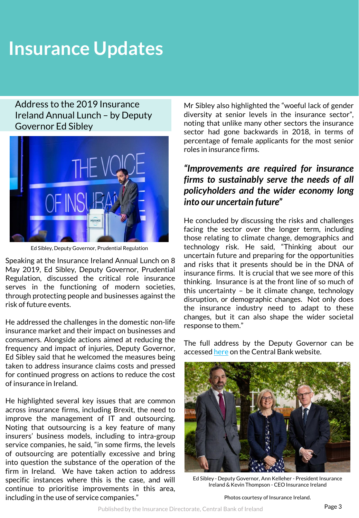Address to the 2019 Insurance Ireland Annual Lunch – by Deputy Governor Ed Sibley



Ed Sibley, Deputy Governor, Prudential Regulation

Speaking at the Insurance Ireland Annual Lunch on 8 May 2019, Ed Sibley, Deputy Governor, Prudential Regulation, discussed the critical role insurance serves in the functioning of modern societies, through protecting people and businesses against the risk of future events.

He addressed the challenges in the domestic non-life insurance market and their impact on businesses and consumers. Alongside actions aimed at reducing the frequency and impact of injuries, Deputy Governor, Ed Sibley said that he welcomed the measures being taken to address insurance claims costs and pressed for continued progress on actions to reduce the cost of insurance in Ireland.

He highlighted several key issues that are common across insurance firms, including Brexit, the need to improve the management of IT and outsourcing. Noting that outsourcing is a key feature of many insurers' business models, including to intra-group service companies, he said, "in some firms, the levels of outsourcing are potentially excessive and bring into question the substance of the operation of the firm in Ireland. We have taken action to address specific instances where this is the case, and will continue to prioritise improvements in this area, including in the use of service companies."

Mr Sibley also highlighted the "woeful lack of gender diversity at senior levels in the insurance sector", noting that unlike many other sectors the insurance sector had gone backwards in 2018, in terms of percentage of female applicants for the most senior roles in insurance firms.

#### *"Improvements are required for insurance firms to sustainably serve the needs of all policyholders and the wider economy long into our uncertain future"*

He concluded by discussing the risks and challenges facing the sector over the longer term, including those relating to climate change, demographics and technology risk. He said, "Thinking about our uncertain future and preparing for the opportunities and risks that it presents should be in the DNA of insurance firms. It is crucial that we see more of this thinking. Insurance is at the front line of so much of this uncertainty – be it climate change, technology disruption, or demographic changes. Not only does the insurance industry need to adapt to these changes, but it can also shape the wider societal response to them."

The full address by the Deputy Governor can be accessed [here](https://www.centralbank.ie/news/article/address-to-the-insurance-ireland-deputy-governor-ed-sibley) on the Central Bank website.



Ed Sibley - Deputy Governor, Ann Kelleher - President Insurance Ireland & Kevin Thompson - CEO Insurance Ireland

Photos courtesy of Insurance Ireland.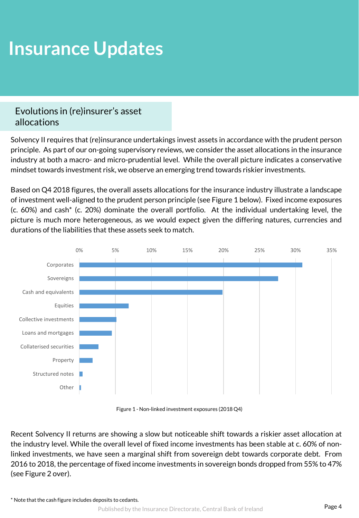### Evolutions in (re)insurer's asset allocations

Solvency II requires that (re)insurance undertakings invest assets in accordance with the prudent person principle. As part of our on-going supervisory reviews, we consider the asset allocations in the insurance industry at both a macro- and micro-prudential level. While the overall picture indicates a conservative mindset towards investment risk, we observe an emerging trend towards riskier investments.

Based on Q4 2018 figures, the overall assets allocations for the insurance industry illustrate a landscape of investment well-aligned to the prudent person principle (see Figure 1 below). Fixed income exposures (c. 60%) and cash\* (c. 20%) dominate the overall portfolio. At the individual undertaking level, the picture is much more heterogeneous, as we would expect given the differing natures, currencies and durations of the liabilities that these assets seek to match.



Figure 1 - Non-linked investment exposures (2018 Q4)

Recent Solvency II returns are showing a slow but noticeable shift towards a riskier asset allocation at the industry level. While the overall level of fixed income investments has been stable at c. 60% of nonlinked investments, we have seen a marginal shift from sovereign debt towards corporate debt. From 2016 to 2018, the percentage of fixed income investments in sovereign bonds dropped from 55% to 47% (see Figure 2 over).

\* Note that the cash figure includes deposits to cedants.

Published by the Insurance Directorate, Central Bank of Ireland **Page 4**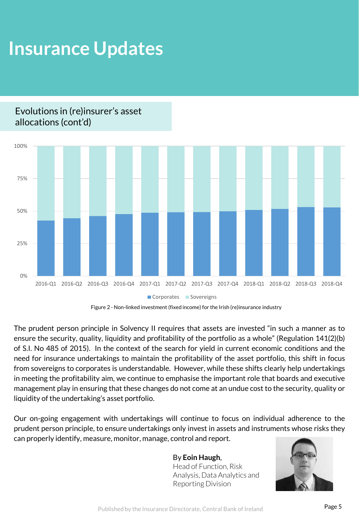### Evolutions in (re)insurer's asset allocations (cont'd)



Figure 2 - Non-linked investment (fixed income) for the Irish (re)insurance industry

The prudent person principle in Solvency II requires that assets are invested "in such a manner as to ensure the security, quality, liquidity and profitability of the portfolio as a whole" (Regulation 141(2)(b) of S.I. No 485 of 2015). In the context of the search for yield in current economic conditions and the need for insurance undertakings to maintain the profitability of the asset portfolio, this shift in focus from sovereigns to corporates is understandable. However, while these shifts clearly help undertakings in meeting the profitability aim, we continue to emphasise the important role that boards and executive management play in ensuring that these changes do not come at an undue cost to the security, quality or liquidity of the undertaking's asset portfolio.

Our on-going engagement with undertakings will continue to focus on individual adherence to the prudent person principle, to ensure undertakings only invest in assets and instruments whose risks they can properly identify, measure, monitor, manage, control and report.

#### By **Eoin Haugh**, Head of Function, Risk Analysis, Data Analytics and Reporting Division

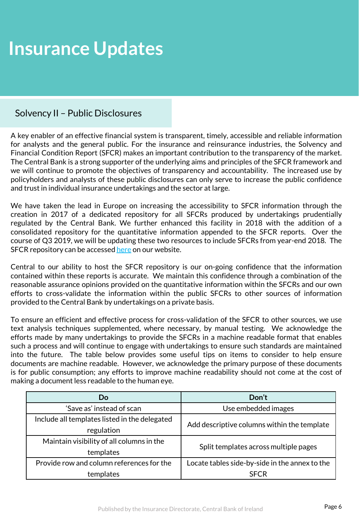### Solvency II – Public Disclosures

A key enabler of an effective financial system is transparent, timely, accessible and reliable information for analysts and the general public. For the insurance and reinsurance industries, the Solvency and Financial Condition Report (SFCR) makes an important contribution to the transparency of the market. The Central Bank is a strong supporter of the underlying aims and principles of the SFCR framework and we will continue to promote the objectives of transparency and accountability. The increased use by policyholders and analysts of these public disclosures can only serve to increase the public confidence and trust in individual insurance undertakings and the sector at large.

We have taken the lead in Europe on increasing the accessibility to SFCR information through the creation in 2017 of a dedicated repository for all SFCRs produced by undertakings prudentially regulated by the Central Bank. We further enhanced this facility in 2018 with the addition of a consolidated repository for the quantitative information appended to the SFCR reports. Over the course of Q3 2019, we will be updating these two resources to include SFCRs from year-end 2018. The SFCR repository can be accessed [here](https://www.centralbank.ie/regulation/industry-market-sectors/insurance-reinsurance/solvency-ii/solvency-and-financial-condition-report-repository) on our website.

Central to our ability to host the SFCR repository is our on-going confidence that the information contained within these reports is accurate. We maintain this confidence through a combination of the reasonable assurance opinions provided on the quantitative information within the SFCRs and our own efforts to cross-validate the information within the public SFCRs to other sources of information provided to the Central Bank by undertakings on a private basis.

To ensure an efficient and effective process for cross-validation of the SFCR to other sources, we use text analysis techniques supplemented, where necessary, by manual testing. We acknowledge the efforts made by many undertakings to provide the SFCRs in a machine readable format that enables such a process and will continue to engage with undertakings to ensure such standards are maintained into the future. The table below provides some useful tips on items to consider to help ensure documents are machine readable. However, we acknowledge the primary purpose of these documents is for public consumption; any efforts to improve machine readability should not come at the cost of making a document less readable to the human eye.

| Do                                            | Don't                                          |  |
|-----------------------------------------------|------------------------------------------------|--|
| 'Save as' instead of scan                     | Use embedded images                            |  |
| Include all templates listed in the delegated | Add descriptive columns within the template    |  |
| regulation                                    |                                                |  |
| Maintain visibility of all columns in the     | Split templates across multiple pages          |  |
| templates                                     |                                                |  |
| Provide row and column references for the     | Locate tables side-by-side in the annex to the |  |
| templates                                     | <b>SFCR</b>                                    |  |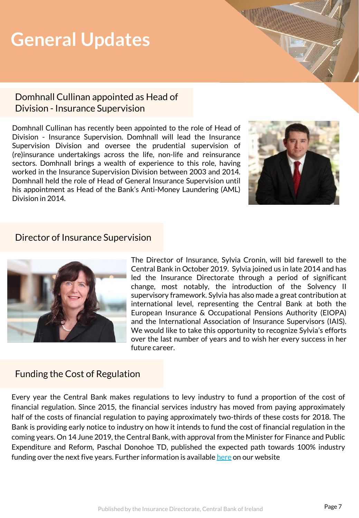### **General Updates**

#### Domhnall Cullinan appointed as Head of Division - Insurance Supervision

Domhnall Cullinan has recently been appointed to the role of Head of Division - Insurance Supervision. Domhnall will lead the Insurance Supervision Division and oversee the prudential supervision of (re)insurance undertakings across the life, non-life and reinsurance sectors. Domhnall brings a wealth of experience to this role, having worked in the Insurance Supervision Division between 2003 and 2014. Domhnall held the role of Head of General Insurance Supervision until his appointment as Head of the Bank's Anti-Money Laundering (AML) Division in 2014.



#### Director of Insurance Supervision



The Director of Insurance, Sylvia Cronin, will bid farewell to the Central Bank in October 2019. Sylvia joined us in late 2014 and has led the Insurance Directorate through a period of significant change, most notably, the introduction of the Solvency II supervisory framework. Sylvia has also made a great contribution at international level, representing the Central Bank at both the European Insurance & Occupational Pensions Authority (EIOPA) and the International Association of Insurance Supervisors (IAIS). We would like to take this opportunity to recognize Sylvia's efforts over the last number of years and to wish her every success in her future career.

### Funding the Cost of Regulation

Every year the Central Bank makes regulations to levy industry to fund a proportion of the cost of financial regulation. Since 2015, the financial services industry has moved from paying approximately half of the costs of financial regulation to paying approximately two-thirds of these costs for 2018. The Bank is providing early notice to industry on how it intends to fund the cost of financial regulation in the coming years. On 14 June 2019, the Central Bank, with approval from the Minister for Finance and Public Expenditure and Reform, Paschal Donohoe TD, published the expected path towards 100% industry funding over the next five years. Further information is available [here](https://www.centralbank.ie/regulation/how-we-regulate/fees-levies/industry-funding-levy) on our website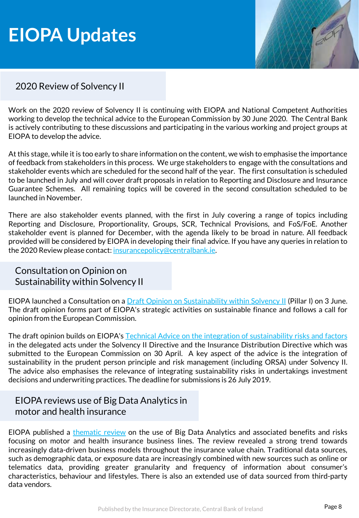### **EIOPA Updates**



### 2020 Review of Solvency II

Work on the 2020 review of Solvency II is continuing with EIOPA and National Competent Authorities working to develop the technical advice to the European Commission by 30 June 2020. The Central Bank is actively contributing to these discussions and participating in the various working and project groups at EIOPA to develop the advice.

At this stage, while it is too early to share information on the content, we wish to emphasise the importance of feedback from stakeholders in this process. We urge stakeholders to engage with the consultations and stakeholder events which are scheduled for the second half of the year. The first consultation is scheduled to be launched in July and will cover draft proposals in relation to Reporting and Disclosure and Insurance Guarantee Schemes. All remaining topics will be covered in the second consultation scheduled to be launched in November.

There are also stakeholder events planned, with the first in July covering a range of topics including Reporting and Disclosure, Proportionality, Groups, SCR, Technical Provisions, and FoS/FoE. Another stakeholder event is planned for December, with the agenda likely to be broad in nature. All feedback provided will be considered by EIOPA in developing their final advice. If you have any queries in relation to the 2020 Review please contact: [insurancepolicy@centralbank.ie](mailto:insurancepolicy@centralbank.ie).

### Consultation on Opinion on Sustainability within Solvency II

EIOPA launched a Consultation on a *Draft Opinion on [Sustainability](https://eiopa.europa.eu/Pages/News/EIOPA-launches-consultation-on-opinion-on-sustainability-within-Solvency-II-.aspx) within Solvency II (Pillar I) on 3 June.* The draft opinion forms part of EIOPA's strategic activities on sustainable finance and follows a call for opinion from the European Commission.

The draft opinion builds on EIOPA's Technical Advice on the integration of [sustainability](https://eiopa.europa.eu/Publications/EIOPA-BoS-19-172_Final_Report_Technical_advice_for_the_integration_of_sustainability_risks_and_factors.pdf) risks and factors in the delegated acts under the Solvency II Directive and the Insurance Distribution Directive which was submitted to the European Commission on 30 April. A key aspect of the advice is the integration of sustainability in the prudent person principle and risk management (including ORSA) under Solvency II. The advice also emphasises the relevance of integrating sustainability risks in undertakings investment decisions and underwriting practices. The deadline for submissions is 26 July 2019.

### EIOPA reviews use of Big Data Analytics in motor and health insurance

EIOPA published a [thematic](https://eiopa.europa.eu/Publications/EIOPA_BigDataAnalytics_ThematicReview_April2019.pdf) review on the use of Big Data Analytics and associated benefits and risks focusing on motor and health insurance business lines. The review revealed a strong trend towards increasingly data-driven business models throughout the insurance value chain. Traditional data sources, such as demographic data, or exposure data are increasingly combined with new sources such as online or telematics data, providing greater granularity and frequency of information about consumer's characteristics, behaviour and lifestyles. There is also an extended use of data sourced from third-party data vendors.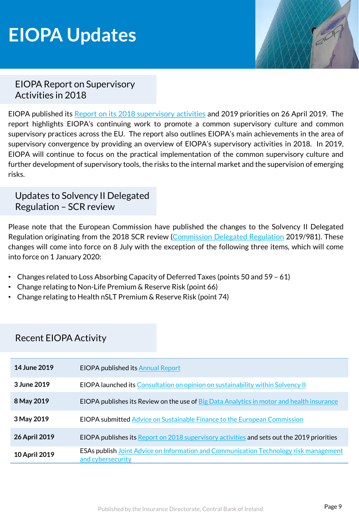### **EIOPA Updates**



### EIOPA Report on Supervisory Activities in 2018

EIOPA published its Report on its 2018 [supervisory](https://eiopa.europa.eu/Publications/Reports/EIOPA_2018_SupervisoryActivities_April2019.pdf) activities and 2019 priorities on 26 April 2019. The report highlights EIOPA's continuing work to promote a common supervisory culture and common supervisory practices across the EU. The report also outlines EIOPA's main achievements in the area of supervisory convergence by providing an overview of EIOPA's supervisory activities in 2018. In 2019, EIOPA will continue to focus on the practical implementation of the common supervisory culture and further development of supervisory tools, the risks to the internal market and the supervision of emerging risks.

### Updates to Solvency II Delegated Regulation – SCR review

Please note that the European Commission have published the changes to the Solvency II Delegated Regulation originating from the 2018 SCR review [\(Commission](https://eur-lex.europa.eu/legal-content/EN/TXT/PDF/?uri=OJ:L:2019:161:FULL&from=EN) Delegated Regulation 2019/981). These changes will come into force on 8 July with the exception of the following three items, which will come into force on 1 January 2020:

- Changes related to Loss Absorbing Capacity of Deferred Taxes (points 50 and 59 61)
- Change relating to Non-Life Premium & Reserve Risk (point 66)
- Change relating to Health nSLT Premium & Reserve Risk (point 74)

### Recent EIOPA Activity

| 14 June 2019         | <b>EIOPA published its Annual Report</b>                                                                          |
|----------------------|-------------------------------------------------------------------------------------------------------------------|
| 3 June 2019          | EIOPA launched its Consultation on opinion on sustainability within Solvency II                                   |
| 8 May 2019           | <b>EIOPA publishes its Review on the use of Big Data Analytics in motor and health insurance</b>                  |
| 3 May 2019           | <b>EIOPA submitted Advice on Sustainable Finance to the European Commission</b>                                   |
| <b>26 April 2019</b> | EIOPA publishes its Report on 2018 supervisory activities and sets out the 2019 priorities                        |
| 10 April 2019        | <b>ESAs publish Joint Advice on Information and Communication Technology risk management</b><br>and cybersecurity |